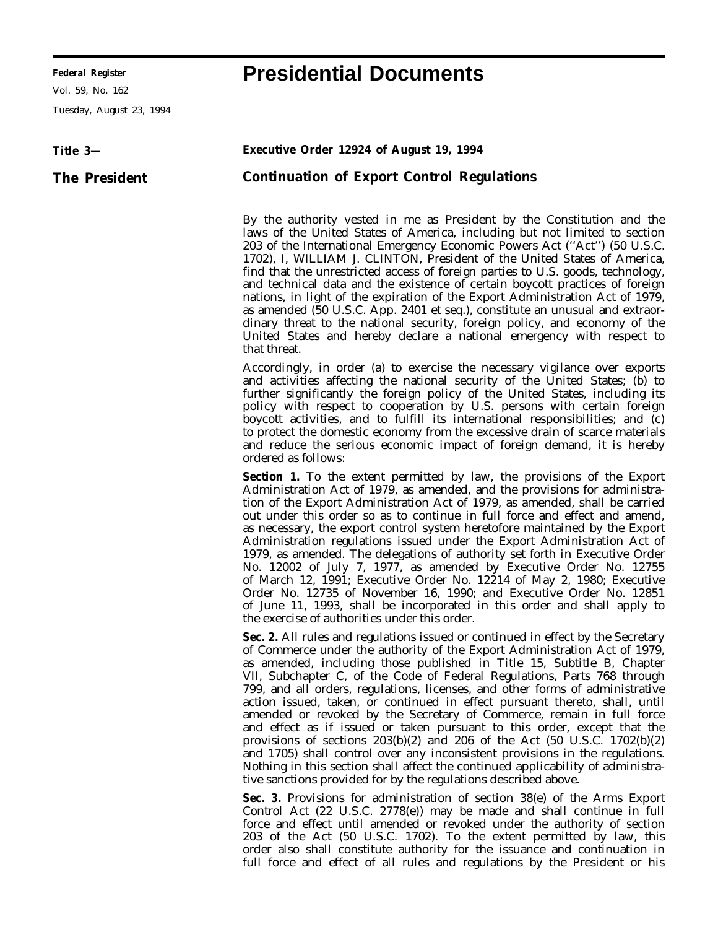**Federal Register Presidential Documents**

Vol. 59, No. 162

Tuesday, August 23, 1994

## **Title 3— The President Executive Order 12924 of August 19, 1994 Continuation of Export Control Regulations** By the authority vested in me as President by the Constitution and the laws of the United States of America, including but not limited to section 203 of the International Emergency Economic Powers Act (''Act'') (50 U.S.C. 1702), I, WILLIAM J. CLINTON, President of the United States of America, find that the unrestricted access of foreign parties to U.S. goods, technology, and technical data and the existence of certain boycott practices of foreign nations, in light of the expiration of the Export Administration Act of 1979, as amended (50 U.S.C. App. 2401 *et seq.*), constitute an unusual and extraordinary threat to the national security, foreign policy, and economy of the United States and hereby declare a national emergency with respect to that threat. Accordingly, in order (a) to exercise the necessary vigilance over exports and activities affecting the national security of the United States; (b) to further significantly the foreign policy of the United States, including its policy with respect to cooperation by U.S. persons with certain foreign boycott activities, and to fulfill its international responsibilities; and  $\overline{c}$ ) to protect the domestic economy from the excessive drain of scarce materials and reduce the serious economic impact of foreign demand, it is hereby ordered as follows: **Section 1.** To the extent permitted by law, the provisions of the Export Administration Act of 1979, as amended, and the provisions for administration of the Export Administration Act of 1979, as amended, shall be carried out under this order so as to continue in full force and effect and amend, as necessary, the export control system heretofore maintained by the Export Administration regulations issued under the Export Administration Act of 1979, as amended. The delegations of authority set forth in Executive Order No. 12002 of July 7, 1977, as amended by Executive Order No. 12755 of March 12, 1991; Executive Order No. 12214 of May 2, 1980; Executive Order No. 12735 of November 16, 1990; and Executive Order No. 12851 of June 11, 1993, shall be incorporated in this order and shall apply to the exercise of authorities under this order. **Sec. 2.** All rules and regulations issued or continued in effect by the Secretary of Commerce under the authority of the Export Administration Act of 1979, as amended, including those published in Title 15, Subtitle B, Chapter VII, Subchapter C, of the Code of Federal Regulations, Parts 768 through 799, and all orders, regulations, licenses, and other forms of administrative action issued, taken, or continued in effect pursuant thereto, shall, until amended or revoked by the Secretary of Commerce, remain in full force and effect as if issued or taken pursuant to this order, except that the provisions of sections 203(b)(2) and 206 of the Act (50 U.S.C. 1702(b)(2) and 1705) shall control over any inconsistent provisions in the regulations. Nothing in this section shall affect the continued applicability of administrative sanctions provided for by the regulations described above. **Sec. 3.** Provisions for administration of section 38(e) of the Arms Export Control Act (22 U.S.C. 2778(e)) may be made and shall continue in full

force and effect until amended or revoked under the authority of section 203 of the Act (50 U.S.C. 1702). To the extent permitted by law, this order also shall constitute authority for the issuance and continuation in full force and effect of all rules and regulations by the President or his